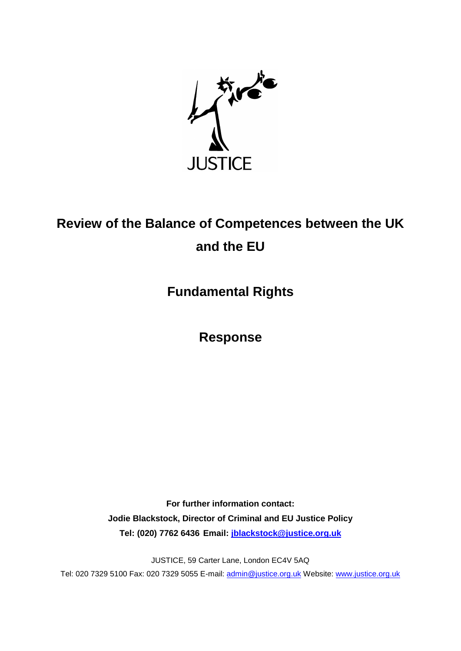

# **Review of the Balance of Competences between the UK and the EU**

**Fundamental Rights**

**Response**

**For further information contact: Jodie Blackstock, Director of Criminal and EU Justice Policy Tel: (020) 7762 6436 Email: [jblackstock@justice.org.uk](mailto:jblackstock@justice.org.uk)**

JUSTICE, 59 Carter Lane, London EC4V 5AQ

Tel: 020 7329 5100 Fax: 020 7329 5055 E-mail: [admin@justice.org.uk](mailto:admin@justice.org.uk) Website: [www.justice.org.uk](http://www.justice.org.uk/)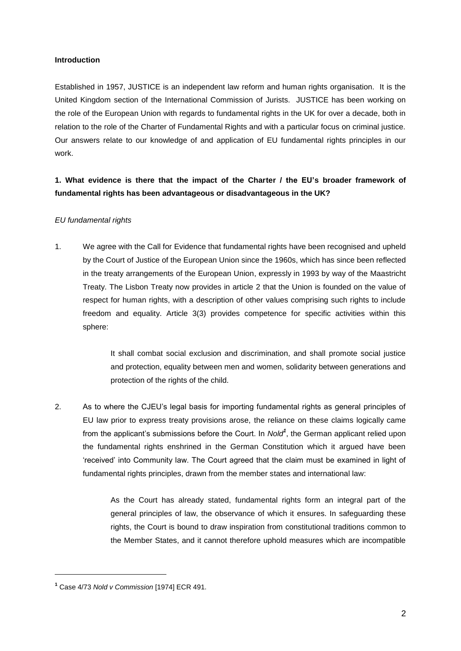#### **Introduction**

Established in 1957, JUSTICE is an independent law reform and human rights organisation. It is the United Kingdom section of the International Commission of Jurists. JUSTICE has been working on the role of the European Union with regards to fundamental rights in the UK for over a decade, both in relation to the role of the Charter of Fundamental Rights and with a particular focus on criminal justice. Our answers relate to our knowledge of and application of EU fundamental rights principles in our work.

## **1. What evidence is there that the impact of the Charter / the EU's broader framework of fundamental rights has been advantageous or disadvantageous in the UK?**

### *EU fundamental rights*

1. We agree with the Call for Evidence that fundamental rights have been recognised and upheld by the Court of Justice of the European Union since the 1960s, which has since been reflected in the treaty arrangements of the European Union, expressly in 1993 by way of the Maastricht Treaty. The Lisbon Treaty now provides in article 2 that the Union is founded on the value of respect for human rights, with a description of other values comprising such rights to include freedom and equality. Article 3(3) provides competence for specific activities within this sphere:

> It shall combat social exclusion and discrimination, and shall promote social justice and protection, equality between men and women, solidarity between generations and protection of the rights of the child.

2. As to where the CJEU's legal basis for importing fundamental rights as general principles of EU law prior to express treaty provisions arose, the reliance on these claims logically came from the applicant's submissions before the Court. In *Nold<sup>1</sup>* , the German applicant relied upon the fundamental rights enshrined in the German Constitution which it argued have been 'received' into Community law. The Court agreed that the claim must be examined in light of fundamental rights principles, drawn from the member states and international law:

> As the Court has already stated, fundamental rights form an integral part of the general principles of law, the observance of which it ensures. In safeguarding these rights, the Court is bound to draw inspiration from constitutional traditions common to the Member States, and it cannot therefore uphold measures which are incompatible

**<sup>1</sup>** Case 4/73 *Nold v Commission* [1974] ECR 491.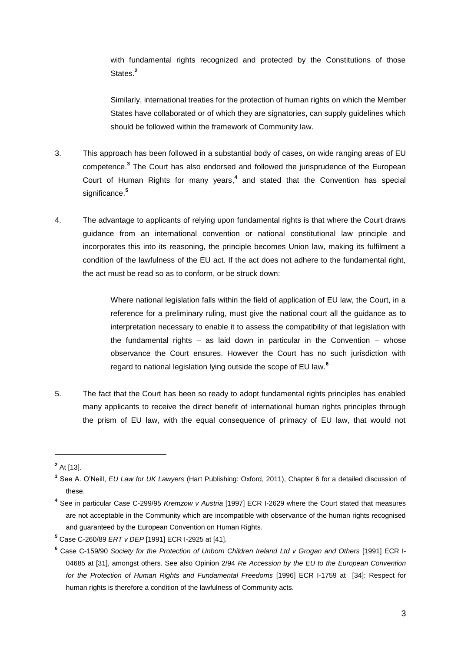with fundamental rights recognized and protected by the Constitutions of those States.**<sup>2</sup>**

Similarly, international treaties for the protection of human rights on which the Member States have collaborated or of which they are signatories, can supply guidelines which should be followed within the framework of Community law.

- 3. This approach has been followed in a substantial body of cases, on wide ranging areas of EU competence.**<sup>3</sup>** The Court has also endorsed and followed the jurisprudence of the European Court of Human Rights for many years, **4** and stated that the Convention has special significance.<sup>5</sup>
- 4. The advantage to applicants of relying upon fundamental rights is that where the Court draws guidance from an international convention or national constitutional law principle and incorporates this into its reasoning, the principle becomes Union law, making its fulfilment a condition of the lawfulness of the EU act. If the act does not adhere to the fundamental right, the act must be read so as to conform, or be struck down:

Where national legislation falls within the field of application of EU law, the Court, in a reference for a preliminary ruling, must give the national court all the guidance as to interpretation necessary to enable it to assess the compatibility of that legislation with the fundamental rights – as laid down in particular in the Convention – whose observance the Court ensures. However the Court has no such jurisdiction with regard to national legislation lying outside the scope of EU law.**<sup>6</sup>**

5. The fact that the Court has been so ready to adopt fundamental rights principles has enabled many applicants to receive the direct benefit of international human rights principles through the prism of EU law, with the equal consequence of primacy of EU law, that would not

**<sup>2</sup>** At [13].

**<sup>3</sup>** See A. O'Neill, *EU Law for UK Lawyers* (Hart Publishing: Oxford, 2011), Chapter 6 for a detailed discussion of these.

**<sup>4</sup>** See in particular Case C-299/95 *Kremzow v Austria* [1997] ECR I-2629 where the Court stated that measures are not acceptable in the Community which are incompatible with observance of the human rights recognised and guaranteed by the European Convention on Human Rights.

**<sup>5</sup>** Case C-260/89 *ERT v DEP* [1991] ECR I-2925 at [41].

**<sup>6</sup>** Case C-159/90 *Society for the Protection of Unborn Children Ireland Ltd v Grogan and Others* [1991] ECR I-04685 at [31], amongst others. See also Opinion 2/94 *Re Accession by the EU to the European Convention*  for the Protection of Human Rights and Fundamental Freedoms [1996] ECR I-1759 at [34]: Respect for human rights is therefore a condition of the lawfulness of Community acts.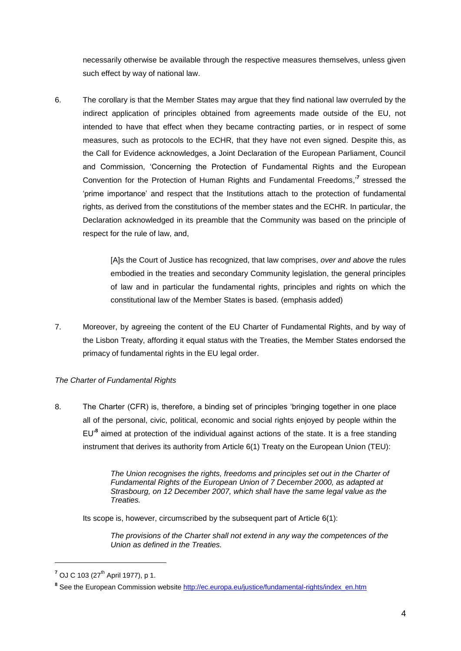necessarily otherwise be available through the respective measures themselves, unless given such effect by way of national law.

6. The corollary is that the Member States may argue that they find national law overruled by the indirect application of principles obtained from agreements made outside of the EU, not intended to have that effect when they became contracting parties, or in respect of some measures, such as protocols to the ECHR, that they have not even signed. Despite this, as the Call for Evidence acknowledges, a Joint Declaration of the European Parliament, Council and Commission, 'Concerning the Protection of Fundamental Rights and the European Convention for the Protection of Human Rights and Fundamental Freedoms,'**<sup>7</sup>** stressed the 'prime importance' and respect that the Institutions attach to the protection of fundamental rights, as derived from the constitutions of the member states and the ECHR. In particular, the Declaration acknowledged in its preamble that the Community was based on the principle of respect for the rule of law, and,

> [A]s the Court of Justice has recognized, that law comprises, *over and above* the rules embodied in the treaties and secondary Community legislation, the general principles of law and in particular the fundamental rights, principles and rights on which the constitutional law of the Member States is based. (emphasis added)

7. Moreover, by agreeing the content of the EU Charter of Fundamental Rights, and by way of the Lisbon Treaty, affording it equal status with the Treaties, the Member States endorsed the primacy of fundamental rights in the EU legal order.

### *The Charter of Fundamental Rights*

8. The Charter (CFR) is, therefore, a binding set of principles 'bringing together in one place all of the personal, civic, political, economic and social rights enjoyed by people within the EU'**<sup>8</sup>** aimed at protection of the individual against actions of the state. It is a free standing instrument that derives its authority from Article 6(1) Treaty on the European Union (TEU):

> *The Union recognises the rights, freedoms and principles set out in the Charter of Fundamental Rights of the European Union of 7 December 2000, as adapted at Strasbourg, on 12 December 2007, which shall have the same legal value as the Treaties.*

Its scope is, however, circumscribed by the subsequent part of Article 6(1):

*The provisions of the Charter shall not extend in any way the competences of the Union as defined in the Treaties.* 

<sup>&</sup>lt;sup>7</sup> OJ C 103 (27<sup>th</sup> April 1977), p 1.

<sup>&</sup>lt;sup>8</sup> See the European Commission website [http://ec.europa.eu/justice/fundamental-rights/index\\_en.htm](http://ec.europa.eu/justice/fundamental-rights/index_en.htm)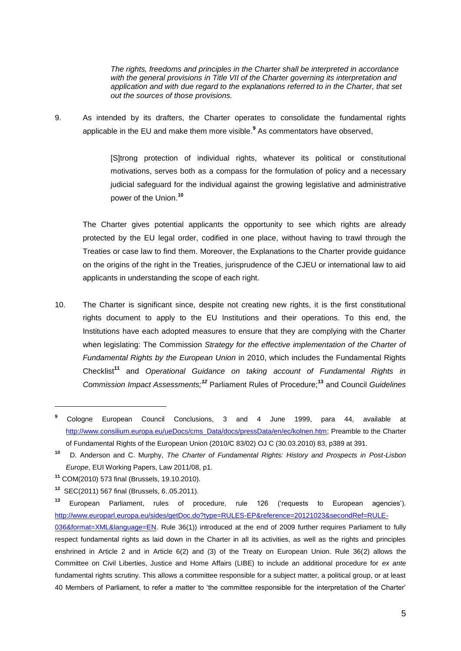*The rights, freedoms and principles in the Charter shall be interpreted in accordance with the general provisions in Title VII of the Charter governing its interpretation and application and with due regard to the explanations referred to in the Charter, that set out the sources of those provisions.*

9. As intended by its drafters, the Charter operates to consolidate the fundamental rights applicable in the EU and make them more visible.**<sup>9</sup>** As commentators have observed,

> [S]trong protection of individual rights, whatever its political or constitutional motivations, serves both as a compass for the formulation of policy and a necessary judicial safeguard for the individual against the growing legislative and administrative power of the Union.**<sup>10</sup>**

The Charter gives potential applicants the opportunity to see which rights are already protected by the EU legal order, codified in one place, without having to trawl through the Treaties or case law to find them. Moreover, the Explanations to the Charter provide guidance on the origins of the right in the Treaties, jurisprudence of the CJEU or international law to aid applicants in understanding the scope of each right.

10. The Charter is significant since, despite not creating new rights, it is the first constitutional rights document to apply to the EU Institutions and their operations. To this end, the Institutions have each adopted measures to ensure that they are complying with the Charter when legislating: The Commission *Strategy for the effective implementation of the Charter of Fundamental Rights by the European Union* in 2010, which includes the Fundamental Rights Checklist**<sup>11</sup>** and *Operational Guidance on taking account of Fundamental Rights in Commission Impact Assessments;<sup>12</sup>* Parliament Rules of Procedure;**<sup>13</sup>** and Council *Guidelines* 

**<sup>9</sup>** Cologne European Council Conclusions, 3 and 4 June 1999, para 44, available at [http://www.consilium.europa.eu/ueDocs/cms\\_Data/docs/pressData/en/ec/kolnen.htm;](http://www.consilium.europa.eu/ueDocs/cms_Data/docs/pressData/en/ec/kolnen.htm) Preamble to the Charter of Fundamental Rights of the European Union (2010/C 83/02) OJ C (30.03.2010) 83, p389 at 391.

**<sup>10</sup>** D. Anderson and C. Murphy, *The Charter of Fundamental Rights: History and Prospects in Post-Lisbon Europe*, EUI Working Papers, Law 2011/08, p1.

**<sup>11</sup>** COM(2010) 573 final (Brussels, 19.10.2010).

**<sup>12</sup>** SEC(2011) 567 final (Brussels, 6..05.2011).

**<sup>13</sup>** European Parliament, rules of procedure, rule 126 ('requests to European agencies'). [http://www.europarl.europa.eu/sides/getDoc.do?type=RULES-EP&reference=20121023&secondRef=RULE-](http://www.europarl.europa.eu/sides/getDoc.do?type=RULES-EP&reference=20121023&secondRef=RULE-036&format=XML&language=EN)

[<sup>036&</sup>amp;format=XML&language=EN.](http://www.europarl.europa.eu/sides/getDoc.do?type=RULES-EP&reference=20121023&secondRef=RULE-036&format=XML&language=EN) Rule 36(1)) introduced at the end of 2009 further requires Parliament to fully respect fundamental rights as laid down in the Charter in all its activities, as well as the rights and principles enshrined in Article 2 and in Article 6(2) and (3) of the Treaty on European Union. Rule 36(2) allows the Committee on Civil Liberties, Justice and Home Affairs (LIBE) to include an additional procedure for *ex ante*  fundamental rights scrutiny. This allows a committee responsible for a subject matter, a political group, or at least 40 Members of Parliament, to refer a matter to 'the committee responsible for the interpretation of the Charter'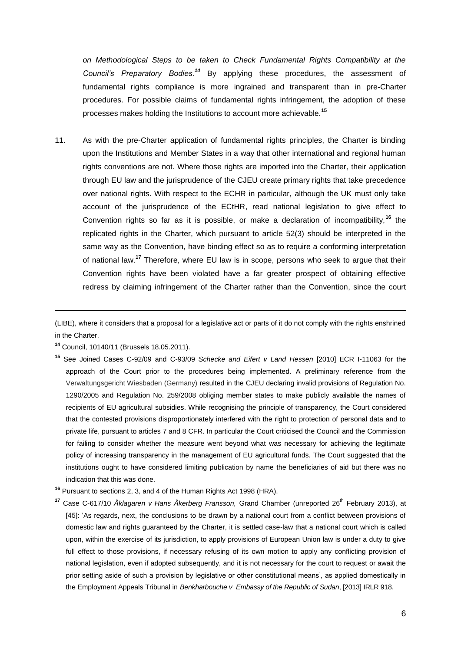*on Methodological Steps to be taken to Check Fundamental Rights Compatibility at the Council's Preparatory Bodies.<sup>14</sup>* By applying these procedures, the assessment of fundamental rights compliance is more ingrained and transparent than in pre-Charter procedures. For possible claims of fundamental rights infringement, the adoption of these processes makes holding the Institutions to account more achievable.**<sup>15</sup>**

11. As with the pre-Charter application of fundamental rights principles, the Charter is binding upon the Institutions and Member States in a way that other international and regional human rights conventions are not. Where those rights are imported into the Charter, their application through EU law and the jurisprudence of the CJEU create primary rights that take precedence over national rights. With respect to the ECHR in particular, although the UK must only take account of the jurisprudence of the ECtHR, read national legislation to give effect to Convention rights so far as it is possible, or make a declaration of incompatibility,**<sup>16</sup>** the replicated rights in the Charter, which pursuant to article 52(3) should be interpreted in the same way as the Convention, have binding effect so as to require a conforming interpretation of national law.**<sup>17</sup>** Therefore, where EU law is in scope, persons who seek to argue that their Convention rights have been violated have a far greater prospect of obtaining effective redress by claiming infringement of the Charter rather than the Convention, since the court

(LIBE), where it considers that a proposal for a legislative act or parts of it do not comply with the rights enshrined in the Charter.

**<sup>14</sup>** Council, 10140/11 (Brussels 18.05.2011).

**<sup>15</sup>** See Joined Cases C-92/09 and C-93/09 *Schecke and Eifert v Land Hessen* [2010] ECR I-11063 for the approach of the Court prior to the procedures being implemented. A preliminary reference from the Verwaltungsgericht Wiesbaden (Germany) resulted in the CJEU declaring invalid provisions of Regulation No. 1290/2005 and Regulation No. 259/2008 obliging member states to make publicly available the names of recipients of EU agricultural subsidies. While recognising the principle of transparency, the Court considered that the contested provisions disproportionately interfered with the right to protection of personal data and to private life, pursuant to articles 7 and 8 CFR. In particular the Court criticised the Council and the Commission for failing to consider whether the measure went beyond what was necessary for achieving the legitimate policy of increasing transparency in the management of EU agricultural funds. The Court suggested that the institutions ought to have considered limiting publication by name the beneficiaries of aid but there was no indication that this was done.

**<sup>16</sup>** Pursuant to sections 2, 3, and 4 of the Human Rights Act 1998 (HRA).

Case C-617/10 *Åklagaren v Hans Åkerberg Fransson*, Grand Chamber (unreported 26<sup>th</sup> February 2013), at [45]: 'As regards, next, the conclusions to be drawn by a national court from a conflict between provisions of domestic law and rights guaranteed by the Charter, it is settled case-law that a national court which is called upon, within the exercise of its jurisdiction, to apply provisions of European Union law is under a duty to give full effect to those provisions, if necessary refusing of its own motion to apply any conflicting provision of national legislation, even if adopted subsequently, and it is not necessary for the court to request or await the prior setting aside of such a provision by legislative or other constitutional means', as applied domestically in the Employment Appeals Tribunal in *Benkharbouche v Embassy of the Republic of Sudan*, [2013] IRLR 918.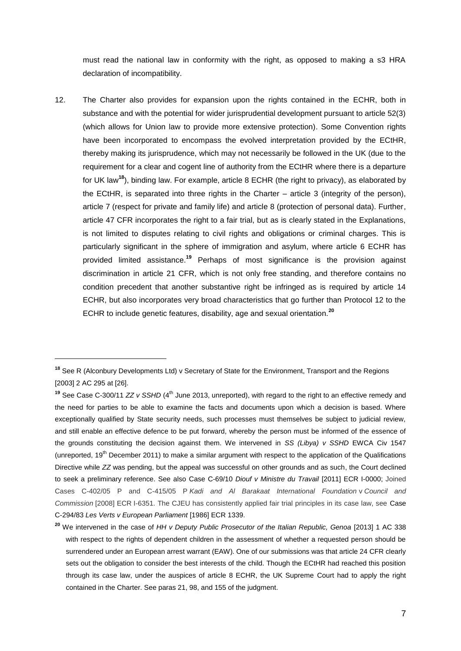must read the national law in conformity with the right, as opposed to making a s3 HRA declaration of incompatibility.

12. The Charter also provides for expansion upon the rights contained in the ECHR, both in substance and with the potential for wider jurisprudential development pursuant to article 52(3) (which allows for Union law to provide more extensive protection). Some Convention rights have been incorporated to encompass the evolved interpretation provided by the ECtHR, thereby making its jurisprudence, which may not necessarily be followed in the UK (due to the requirement for a clear and cogent line of authority from the ECtHR where there is a departure for UK law**<sup>18</sup>**), binding law. For example, article 8 ECHR (the right to privacy), as elaborated by the ECtHR, is separated into three rights in the Charter – article 3 (integrity of the person), article 7 (respect for private and family life) and article 8 (protection of personal data). Further, article 47 CFR incorporates the right to a fair trial, but as is clearly stated in the Explanations, is not limited to disputes relating to civil rights and obligations or criminal charges. This is particularly significant in the sphere of immigration and asylum, where article 6 ECHR has provided limited assistance. **<sup>19</sup>** Perhaps of most significance is the provision against discrimination in article 21 CFR, which is not only free standing, and therefore contains no condition precedent that another substantive right be infringed as is required by article 14 ECHR, but also incorporates very broad characteristics that go further than Protocol 12 to the ECHR to include genetic features, disability, age and sexual orientation.**<sup>20</sup>**

**<sup>18</sup>** See R (Alconbury Developments Ltd) v Secretary of State for the Environment, Transport and the Regions [2003] 2 AC 295 at [26].

<sup>&</sup>lt;sup>19</sup> See Case C-300/11 *ZZ v SSHD* (4<sup>th</sup> June 2013, unreported), with regard to the right to an effective remedy and the need for parties to be able to examine the facts and documents upon which a decision is based. Where exceptionally qualified by State security needs, such processes must themselves be subject to judicial review, and still enable an effective defence to be put forward, whereby the person must be informed of the essence of the grounds constituting the decision against them. We intervened in *SS (Libya) v SSHD* EWCA Civ 1547 (unreported,  $19<sup>th</sup>$  December 2011) to make a similar argument with respect to the application of the Qualifications Directive while *ZZ* was pending, but the appeal was successful on other grounds and as such, the Court declined to seek a preliminary reference. See also Case C-69/10 *Diouf v Ministre du Travail* [2011] ECR I-0000; Joined Cases C-402/05 P and C-415/05 P *Kadi and Al Barakaat International Foundation* v *Council and Commission* [2008] ECR I-6351. The CJEU has consistently applied fair trial principles in its case law, see Case C-294/83 *Les Verts v European Parliament* [1986] ECR 1339.

**<sup>20</sup>** We intervened in the case of *HH v Deputy Public Prosecutor of the Italian Republic, Genoa* [2013] 1 AC 338 with respect to the rights of dependent children in the assessment of whether a requested person should be surrendered under an European arrest warrant (EAW). One of our submissions was that article 24 CFR clearly sets out the obligation to consider the best interests of the child. Though the ECtHR had reached this position through its case law, under the auspices of article 8 ECHR, the UK Supreme Court had to apply the right contained in the Charter. See paras 21, 98, and 155 of the judgment.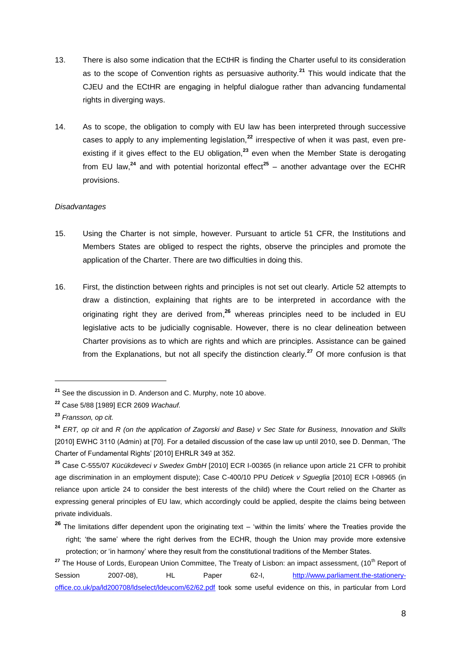- 13. There is also some indication that the ECtHR is finding the Charter useful to its consideration as to the scope of Convention rights as persuasive authority.**<sup>21</sup>** This would indicate that the CJEU and the ECtHR are engaging in helpful dialogue rather than advancing fundamental rights in diverging ways.
- 14. As to scope, the obligation to comply with EU law has been interpreted through successive cases to apply to any implementing legislation,**<sup>22</sup>** irrespective of when it was past, even preexisting if it gives effect to the EU obligation,**<sup>23</sup>** even when the Member State is derogating from EU law,<sup>24</sup> and with potential horizontal effect<sup>25</sup> – another advantage over the ECHR provisions.

#### *Disadvantages*

- 15. Using the Charter is not simple, however. Pursuant to article 51 CFR, the Institutions and Members States are obliged to respect the rights, observe the principles and promote the application of the Charter. There are two difficulties in doing this.
- 16. First, the distinction between rights and principles is not set out clearly. Article 52 attempts to draw a distinction, explaining that rights are to be interpreted in accordance with the originating right they are derived from, **<sup>26</sup>** whereas principles need to be included in EU legislative acts to be judicially cognisable. However, there is no clear delineation between Charter provisions as to which are rights and which are principles. Assistance can be gained from the Explanations, but not all specify the distinction clearly.**<sup>27</sup>** Of more confusion is that

**<sup>21</sup>** See the discussion in D. Anderson and C. Murphy, note 10 above.

**<sup>22</sup>** Case 5/88 [1989] ECR 2609 *Wachauf.*

**<sup>23</sup>** *Fransson, op cit.*

**<sup>24</sup>** *ERT, op cit* and *R (on the application of Zagorski and Base) v Sec State for Business, Innovation and Skills*  [2010] EWHC 3110 (Admin) at [70]. For a detailed discussion of the case law up until 2010, see D. Denman, 'The Charter of Fundamental Rights' [2010] EHRLR 349 at 352.

**<sup>25</sup>** Case C-555/07 *Kücükdeveci v Swedex GmbH* [2010] ECR I-00365 (in reliance upon article 21 CFR to prohibit age discrimination in an employment dispute); Case C-400/10 PPU *Deticek v Sgueglia* [2010] ECR I-08965 (in reliance upon article 24 to consider the best interests of the child) where the Court relied on the Charter as expressing general principles of EU law, which accordingly could be applied, despite the claims being between private individuals.

**<sup>26</sup>** The limitations differ dependent upon the originating text – 'within the limits' where the Treaties provide the right; 'the same' where the right derives from the ECHR, though the Union may provide more extensive protection; or 'in harmony' where they result from the constitutional traditions of the Member States.

<sup>&</sup>lt;sup>27</sup> The House of Lords, European Union Committee, The Treaty of Lisbon: an impact assessment, (10<sup>th</sup> Report of Session 2007-08), HL Paper 62-I, [http://www.parliament.the-stationery](http://www.parliament.the-stationery-office.co.uk/pa/ld200708/ldselect/ldeucom/62/62.pdf)[office.co.uk/pa/ld200708/ldselect/ldeucom/62/62.pdf](http://www.parliament.the-stationery-office.co.uk/pa/ld200708/ldselect/ldeucom/62/62.pdf) took some useful evidence on this, in particular from Lord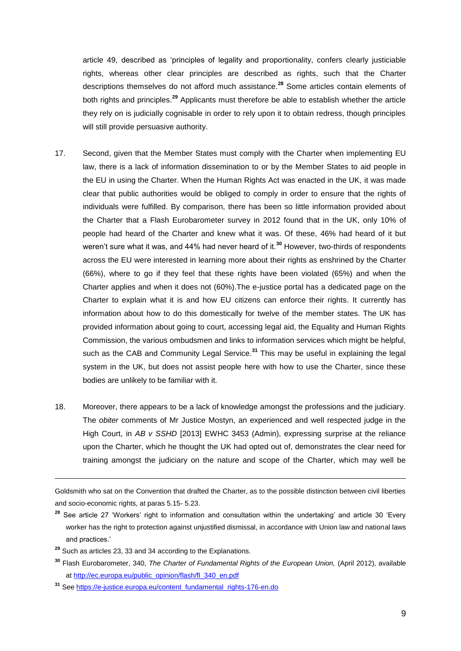article 49, described as 'principles of legality and proportionality, confers clearly justiciable rights, whereas other clear principles are described as rights, such that the Charter descriptions themselves do not afford much assistance. **<sup>28</sup>** Some articles contain elements of both rights and principles.**<sup>29</sup>** Applicants must therefore be able to establish whether the article they rely on is judicially cognisable in order to rely upon it to obtain redress, though principles will still provide persuasive authority.

- 17. Second, given that the Member States must comply with the Charter when implementing EU law, there is a lack of information dissemination to or by the Member States to aid people in the EU in using the Charter. When the Human Rights Act was enacted in the UK, it was made clear that public authorities would be obliged to comply in order to ensure that the rights of individuals were fulfilled. By comparison, there has been so little information provided about the Charter that a Flash Eurobarometer survey in 2012 found that in the UK, only 10% of people had heard of the Charter and knew what it was. Of these, 46% had heard of it but weren't sure what it was, and 44% had never heard of it.**<sup>30</sup>** However, two-thirds of respondents across the EU were interested in learning more about their rights as enshrined by the Charter (66%), where to go if they feel that these rights have been violated (65%) and when the Charter applies and when it does not (60%).The e-justice portal has a dedicated page on the Charter to explain what it is and how EU citizens can enforce their rights. It currently has information about how to do this domestically for twelve of the member states. The UK has provided information about going to court, accessing legal aid, the Equality and Human Rights Commission, the various ombudsmen and links to information services which might be helpful, such as the CAB and Community Legal Service.**<sup>31</sup>** This may be useful in explaining the legal system in the UK, but does not assist people here with how to use the Charter, since these bodies are unlikely to be familiar with it.
- 18. Moreover, there appears to be a lack of knowledge amongst the professions and the judiciary. The *obiter* comments of Mr Justice Mostyn, an experienced and well respected judge in the High Court, in *AB v SSHD* [2013] EWHC 3453 (Admin), expressing surprise at the reliance upon the Charter, which he thought the UK had opted out of, demonstrates the clear need for training amongst the judiciary on the nature and scope of the Charter, which may well be

Goldsmith who sat on the Convention that drafted the Charter, as to the possible distinction between civil liberties and socio-economic rights, at paras 5.15- 5.23.

**<sup>28</sup>** See article 27 'Workers' right to information and consultation within the undertaking' and article 30 'Every worker has the right to protection against unjustified dismissal, in accordance with Union law and national laws and practices.'

**<sup>29</sup>** Such as articles 23, 33 and 34 according to the Explanations.

**<sup>30</sup>** Flash Eurobarometer, 340, *The Charter of Fundamental Rights of the European Union,* (April 2012), available at [http://ec.europa.eu/public\\_opinion/flash/fl\\_340\\_en.pdf](http://ec.europa.eu/public_opinion/flash/fl_340_en.pdf)

**<sup>31</sup>** Se[e https://e-justice.europa.eu/content\\_fundamental\\_rights-176-en.do](https://e-justice.europa.eu/content_fundamental_rights-176-en.do)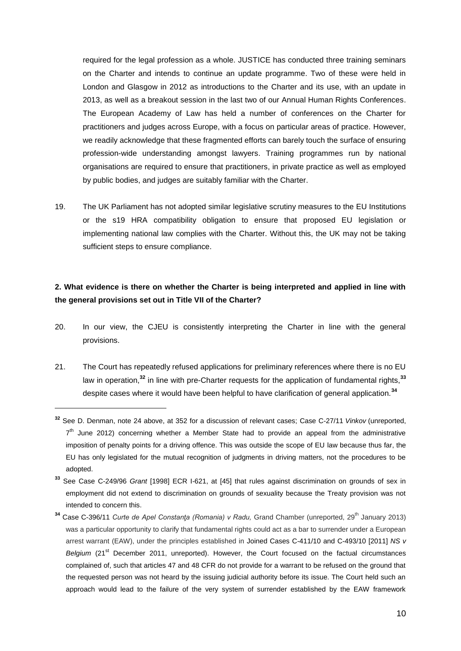required for the legal profession as a whole. JUSTICE has conducted three training seminars on the Charter and intends to continue an update programme. Two of these were held in London and Glasgow in 2012 as introductions to the Charter and its use, with an update in 2013, as well as a breakout session in the last two of our Annual Human Rights Conferences. The European Academy of Law has held a number of conferences on the Charter for practitioners and judges across Europe, with a focus on particular areas of practice. However, we readily acknowledge that these fragmented efforts can barely touch the surface of ensuring profession-wide understanding amongst lawyers. Training programmes run by national organisations are required to ensure that practitioners, in private practice as well as employed by public bodies, and judges are suitably familiar with the Charter.

19. The UK Parliament has not adopted similar legislative scrutiny measures to the EU Institutions or the s19 HRA compatibility obligation to ensure that proposed EU legislation or implementing national law complies with the Charter. Without this, the UK may not be taking sufficient steps to ensure compliance.

## **2. What evidence is there on whether the Charter is being interpreted and applied in line with the general provisions set out in Title VII of the Charter?**

- 20. In our view, the CJEU is consistently interpreting the Charter in line with the general provisions.
- 21. The Court has repeatedly refused applications for preliminary references where there is no EU law in operation,**<sup>32</sup>** in line with pre-Charter requests for the application of fundamental rights,**<sup>33</sup>** despite cases where it would have been helpful to have clarification of general application.**<sup>34</sup>**

**<sup>32</sup>** See D. Denman, note 24 above, at 352 for a discussion of relevant cases; Case C-27/11 *Vinkov* (unreported,  $7<sup>th</sup>$  June 2012) concerning whether a Member State had to provide an appeal from the administrative imposition of penalty points for a driving offence. This was outside the scope of EU law because thus far, the EU has only legislated for the mutual recognition of judgments in driving matters, not the procedures to be adopted.

**<sup>33</sup>** See Case C-249/96 *Grant* [1998] ECR I-621, at [45] that rules against discrimination on grounds of sex in employment did not extend to discrimination on grounds of sexuality because the Treaty provision was not intended to concern this.

<sup>&</sup>lt;sup>34</sup> Case C-396/11 *Curte de Apel Constanţa (Romania) v Radu*, Grand Chamber (unreported, 29<sup>th</sup> January 2013) was a particular opportunity to clarify that fundamental rights could act as a bar to surrender under a European arrest warrant (EAW), under the principles established in Joined Cases C-411/10 and C-493/10 [2011] *NS v Belgium* (21<sup>st</sup> December 2011, unreported). However, the Court focused on the factual circumstances complained of, such that articles 47 and 48 CFR do not provide for a warrant to be refused on the ground that the requested person was not heard by the issuing judicial authority before its issue. The Court held such an approach would lead to the failure of the very system of surrender established by the EAW framework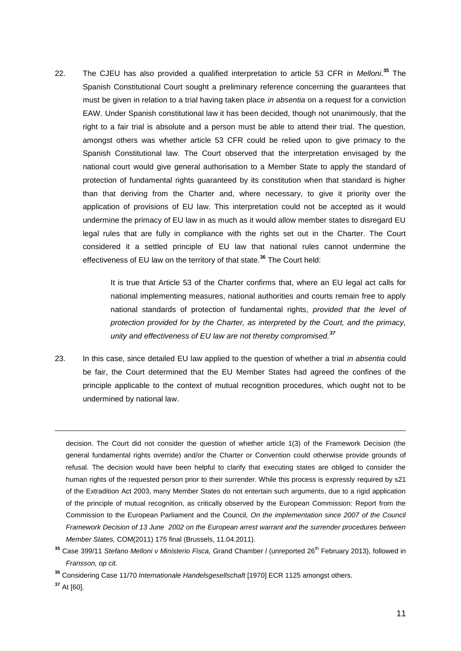22. The CJEU has also provided a qualified interpretation to article 53 CFR in *Melloni*. **<sup>35</sup>** The Spanish Constitutional Court sought a preliminary reference concerning the guarantees that must be given in relation to a trial having taken place *in absentia* on a request for a conviction EAW. Under Spanish constitutional law it has been decided, though not unanimously, that the right to a fair trial is absolute and a person must be able to attend their trial. The question, amongst others was whether article 53 CFR could be relied upon to give primacy to the Spanish Constitutional law. The Court observed that the interpretation envisaged by the national court would give general authorisation to a Member State to apply the standard of protection of fundamental rights guaranteed by its constitution when that standard is higher than that deriving from the Charter and, where necessary, to give it priority over the application of provisions of EU law. This interpretation could not be accepted as it would undermine the primacy of EU law in as much as it would allow member states to disregard EU legal rules that are fully in compliance with the rights set out in the Charter. The Court considered it a settled principle of EU law that national rules cannot undermine the effectiveness of EU law on the territory of that state.**<sup>36</sup>** The Court held:

> It is true that Article 53 of the Charter confirms that, where an EU legal act calls for national implementing measures, national authorities and courts remain free to apply national standards of protection of fundamental rights, *provided that the level of protection provided for by the Charter, as interpreted by the Court, and the primacy, unity and effectiveness of EU law are not thereby compromised.<sup>37</sup>*

23. In this case, since detailed EU law applied to the question of whether a trial *in absentia* could be fair, the Court determined that the EU Member States had agreed the confines of the principle applicable to the context of mutual recognition procedures, which ought not to be undermined by national law.

decision. The Court did not consider the question of whether article 1(3) of the Framework Decision (the general fundamental rights override) and/or the Charter or Convention could otherwise provide grounds of refusal. The decision would have been helpful to clarify that executing states are obliged to consider the human rights of the requested person prior to their surrender. While this process is expressly required by s21 of the Extradition Act 2003, many Member States do not entertain such arguments, due to a rigid application of the principle of mutual recognition, as critically observed by the European Commission: Report from the Commission to the European Parliament and the Council*, On the implementation since 2007 of the Council Framework Decision of 13 June 2002 on the European arrest warrant and the surrender procedures between Member States,* COM(2011) 175 final (Brussels, 11.04.2011).

<sup>&</sup>lt;sup>35</sup> Case 399/11 *Stefano Melloni v Ministerio Fisca, Grand Chamber I (unreported 26<sup>th</sup> February 2013), followed in Fransson, op cit.*

**<sup>36</sup>** Considering Case 11/70 *Internationale Handelsgesellschaft* [1970] ECR 1125 amongst others.

**<sup>37</sup>** At [60].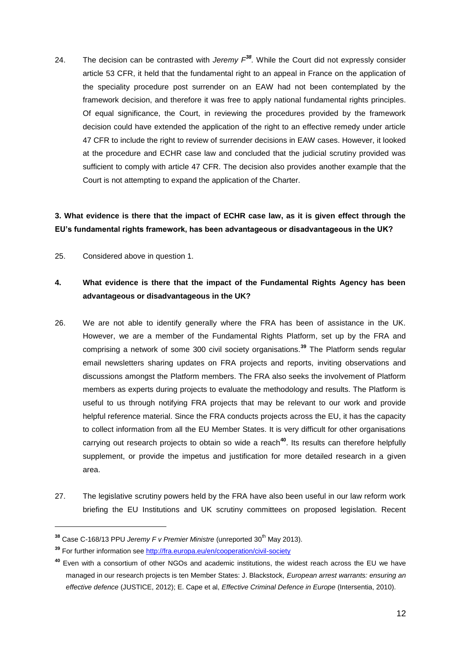24. The decision can be contrasted with *Jeremy F<sup>38</sup> .* While the Court did not expressly consider article 53 CFR, it held that the fundamental right to an appeal in France on the application of the speciality procedure post surrender on an EAW had not been contemplated by the framework decision, and therefore it was free to apply national fundamental rights principles. Of equal significance, the Court, in reviewing the procedures provided by the framework decision could have extended the application of the right to an effective remedy under article 47 CFR to include the right to review of surrender decisions in EAW cases. However, it looked at the procedure and ECHR case law and concluded that the judicial scrutiny provided was sufficient to comply with article 47 CFR. The decision also provides another example that the Court is not attempting to expand the application of the Charter.

# **3. What evidence is there that the impact of ECHR case law, as it is given effect through the EU's fundamental rights framework, has been advantageous or disadvantageous in the UK?**

25. Considered above in question 1.

# **4. What evidence is there that the impact of the Fundamental Rights Agency has been advantageous or disadvantageous in the UK?**

- 26. We are not able to identify generally where the FRA has been of assistance in the UK. However, we are a member of the Fundamental Rights Platform, set up by the FRA and comprising a network of some 300 civil society organisations.**<sup>39</sup>** The Platform sends regular email newsletters sharing updates on FRA projects and reports, inviting observations and discussions amongst the Platform members. The FRA also seeks the involvement of Platform members as experts during projects to evaluate the methodology and results. The Platform is useful to us through notifying FRA projects that may be relevant to our work and provide helpful reference material. Since the FRA conducts projects across the EU, it has the capacity to collect information from all the EU Member States. It is very difficult for other organisations carrying out research projects to obtain so wide a reach**<sup>40</sup>**. Its results can therefore helpfully supplement, or provide the impetus and justification for more detailed research in a given area.
- 27. The legislative scrutiny powers held by the FRA have also been useful in our law reform work briefing the EU Institutions and UK scrutiny committees on proposed legislation. Recent

<sup>&</sup>lt;sup>38</sup> Case C-168/13 PPU *Jeremy F v Premier Ministre* (unreported 30<sup>th</sup> May 2013).

**<sup>39</sup>** For further information se[e http://fra.europa.eu/en/cooperation/civil-society](http://fra.europa.eu/en/cooperation/civil-society)

**<sup>40</sup>** Even with a consortium of other NGOs and academic institutions, the widest reach across the EU we have managed in our research projects is ten Member States: J. Blackstock, *European arrest warrants: ensuring an effective defence* (JUSTICE, 2012); E. Cape et al, *Effective Criminal Defence in Europe* (Intersentia, 2010).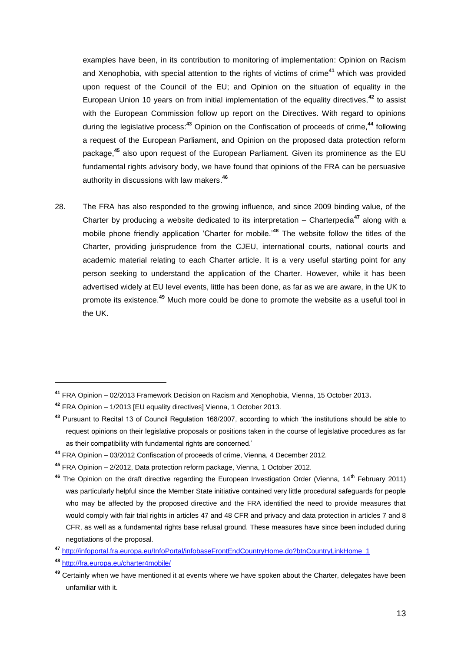examples have been, in its contribution to monitoring of implementation: Opinion on Racism and Xenophobia, with special attention to the rights of victims of crime**<sup>41</sup>** which was provided upon request of the Council of the EU; and Opinion on the situation of equality in the European Union 10 years on from initial implementation of the equality directives,**<sup>42</sup>** to assist with the European Commission follow up report on the Directives. With regard to opinions during the legislative process: **<sup>43</sup>** Opinion on the Confiscation of proceeds of crime,**<sup>44</sup>** following a request of the European Parliament, and Opinion on the proposed data protection reform package,**<sup>45</sup>** also upon request of the European Parliament. Given its prominence as the EU fundamental rights advisory body, we have found that opinions of the FRA can be persuasive authority in discussions with law makers. **46**

28. The FRA has also responded to the growing influence, and since 2009 binding value, of the Charter by producing a website dedicated to its interpretation – Charterpedia**<sup>47</sup>** along with a mobile phone friendly application 'Charter for mobile.'**<sup>48</sup>** The website follow the titles of the Charter, providing jurisprudence from the CJEU, international courts, national courts and academic material relating to each Charter article. It is a very useful starting point for any person seeking to understand the application of the Charter. However, while it has been advertised widely at EU level events, little has been done, as far as we are aware, in the UK to promote its existence.**<sup>49</sup>** Much more could be done to promote the website as a useful tool in the UK.

**<sup>47</sup>** [http://infoportal.fra.europa.eu/InfoPortal/infobaseFrontEndCountryHome.do?btnCountryLinkHome\\_1](http://infoportal.fra.europa.eu/InfoPortal/infobaseFrontEndCountryHome.do?btnCountryLinkHome_1)

**<sup>41</sup>** FRA Opinion – 02/2013 Framework Decision on Racism and Xenophobia, Vienna, 15 October 2013**.**

**<sup>42</sup>** FRA Opinion – 1/2013 [EU equality directives] Vienna, 1 October 2013.

**<sup>43</sup>** Pursuant to Recital 13 of Council Regulation 168/2007, according to which 'the institutions should be able to request opinions on their legislative proposals or positions taken in the course of legislative procedures as far as their compatibility with fundamental rights are concerned.'

**<sup>44</sup>** FRA Opinion – 03/2012 Confiscation of proceeds of crime, Vienna, 4 December 2012.

**<sup>45</sup>** FRA Opinion – 2/2012, Data protection reform package, Vienna, 1 October 2012.

<sup>&</sup>lt;sup>46</sup> The Opinion on the draft directive regarding the European Investigation Order (Vienna, 14<sup>th</sup> February 2011) was particularly helpful since the Member State initiative contained very little procedural safeguards for people who may be affected by the proposed directive and the FRA identified the need to provide measures that would comply with fair trial rights in articles 47 and 48 CFR and privacy and data protection in articles 7 and 8 CFR, as well as a fundamental rights base refusal ground. These measures have since been included during negotiations of the proposal.

**<sup>48</sup>** <http://fra.europa.eu/charter4mobile/>

**<sup>49</sup>** Certainly when we have mentioned it at events where we have spoken about the Charter, delegates have been unfamiliar with it.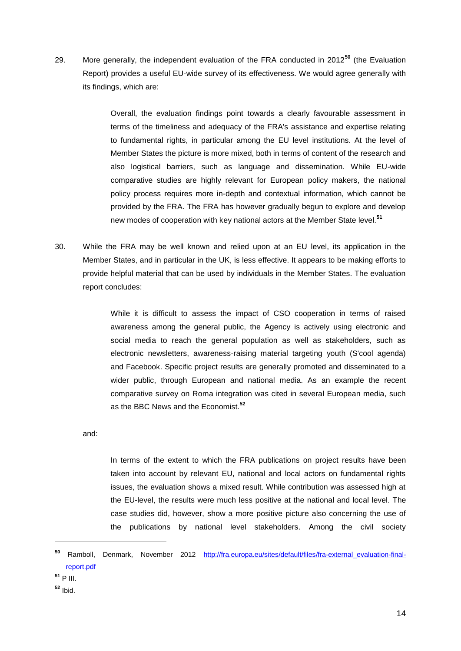29. More generally, the independent evaluation of the FRA conducted in 2012**<sup>50</sup>** (the Evaluation Report) provides a useful EU-wide survey of its effectiveness. We would agree generally with its findings, which are:

> Overall, the evaluation findings point towards a clearly favourable assessment in terms of the timeliness and adequacy of the FRA's assistance and expertise relating to fundamental rights, in particular among the EU level institutions. At the level of Member States the picture is more mixed, both in terms of content of the research and also logistical barriers, such as language and dissemination. While EU-wide comparative studies are highly relevant for European policy makers, the national policy process requires more in-depth and contextual information, which cannot be provided by the FRA. The FRA has however gradually begun to explore and develop new modes of cooperation with key national actors at the Member State level.**<sup>51</sup>**

30. While the FRA may be well known and relied upon at an EU level, its application in the Member States, and in particular in the UK, is less effective. It appears to be making efforts to provide helpful material that can be used by individuals in the Member States. The evaluation report concludes:

> While it is difficult to assess the impact of CSO cooperation in terms of raised awareness among the general public, the Agency is actively using electronic and social media to reach the general population as well as stakeholders, such as electronic newsletters, awareness-raising material targeting youth (S'cool agenda) and Facebook. Specific project results are generally promoted and disseminated to a wider public, through European and national media. As an example the recent comparative survey on Roma integration was cited in several European media, such as the BBC News and the Economist.**<sup>52</sup>**

and:

In terms of the extent to which the FRA publications on project results have been taken into account by relevant EU, national and local actors on fundamental rights issues, the evaluation shows a mixed result. While contribution was assessed high at the EU-level, the results were much less positive at the national and local level. The case studies did, however, show a more positive picture also concerning the use of the publications by national level stakeholders. Among the civil society

**<sup>52</sup>** Ibid.

**<sup>50</sup>** Ramboll, Denmark, November 2012 [http://fra.europa.eu/sites/default/files/fra-external\\_evaluation-final](http://fra.europa.eu/sites/default/files/fra-external_evaluation-final-report.pdf)[report.pdf](http://fra.europa.eu/sites/default/files/fra-external_evaluation-final-report.pdf)

**<sup>51</sup>** P III.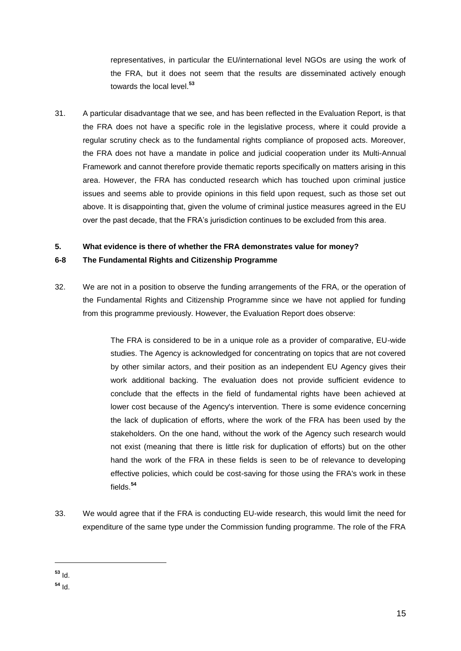representatives, in particular the EU/international level NGOs are using the work of the FRA, but it does not seem that the results are disseminated actively enough towards the local level.**<sup>53</sup>**

31. A particular disadvantage that we see, and has been reflected in the Evaluation Report, is that the FRA does not have a specific role in the legislative process, where it could provide a regular scrutiny check as to the fundamental rights compliance of proposed acts. Moreover, the FRA does not have a mandate in police and judicial cooperation under its Multi-Annual Framework and cannot therefore provide thematic reports specifically on matters arising in this area. However, the FRA has conducted research which has touched upon criminal justice issues and seems able to provide opinions in this field upon request, such as those set out above. It is disappointing that, given the volume of criminal justice measures agreed in the EU over the past decade, that the FRA's jurisdiction continues to be excluded from this area.

### **5. What evidence is there of whether the FRA demonstrates value for money?**

#### **6-8 The Fundamental Rights and Citizenship Programme**

32. We are not in a position to observe the funding arrangements of the FRA, or the operation of the Fundamental Rights and Citizenship Programme since we have not applied for funding from this programme previously. However, the Evaluation Report does observe:

> The FRA is considered to be in a unique role as a provider of comparative, EU-wide studies. The Agency is acknowledged for concentrating on topics that are not covered by other similar actors, and their position as an independent EU Agency gives their work additional backing. The evaluation does not provide sufficient evidence to conclude that the effects in the field of fundamental rights have been achieved at lower cost because of the Agency's intervention. There is some evidence concerning the lack of duplication of efforts, where the work of the FRA has been used by the stakeholders. On the one hand, without the work of the Agency such research would not exist (meaning that there is little risk for duplication of efforts) but on the other hand the work of the FRA in these fields is seen to be of relevance to developing effective policies, which could be cost-saving for those using the FRA's work in these fields.**<sup>54</sup>**

33. We would agree that if the FRA is conducting EU-wide research, this would limit the need for expenditure of the same type under the Commission funding programme. The role of the FRA

**<sup>53</sup>** Id.

**<sup>54</sup>** Id.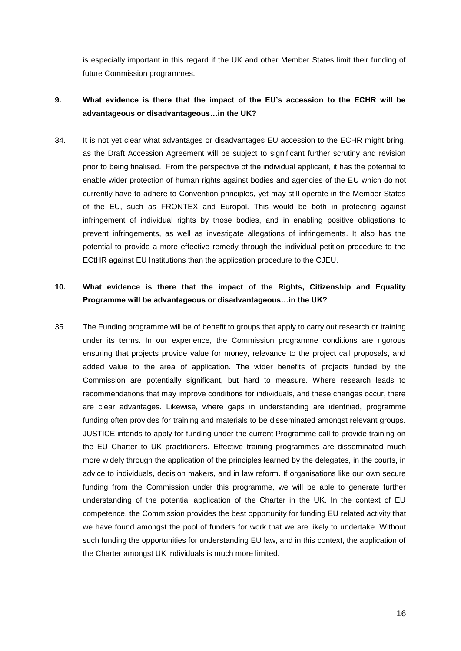is especially important in this regard if the UK and other Member States limit their funding of future Commission programmes.

# **9. What evidence is there that the impact of the EU's accession to the ECHR will be advantageous or disadvantageous…in the UK?**

34. It is not yet clear what advantages or disadvantages EU accession to the ECHR might bring, as the Draft Accession Agreement will be subject to significant further scrutiny and revision prior to being finalised. From the perspective of the individual applicant, it has the potential to enable wider protection of human rights against bodies and agencies of the EU which do not currently have to adhere to Convention principles, yet may still operate in the Member States of the EU, such as FRONTEX and Europol. This would be both in protecting against infringement of individual rights by those bodies, and in enabling positive obligations to prevent infringements, as well as investigate allegations of infringements. It also has the potential to provide a more effective remedy through the individual petition procedure to the ECtHR against EU Institutions than the application procedure to the CJEU.

## **10. What evidence is there that the impact of the Rights, Citizenship and Equality Programme will be advantageous or disadvantageous…in the UK?**

35. The Funding programme will be of benefit to groups that apply to carry out research or training under its terms. In our experience, the Commission programme conditions are rigorous ensuring that projects provide value for money, relevance to the project call proposals, and added value to the area of application. The wider benefits of projects funded by the Commission are potentially significant, but hard to measure. Where research leads to recommendations that may improve conditions for individuals, and these changes occur, there are clear advantages. Likewise, where gaps in understanding are identified, programme funding often provides for training and materials to be disseminated amongst relevant groups. JUSTICE intends to apply for funding under the current Programme call to provide training on the EU Charter to UK practitioners. Effective training programmes are disseminated much more widely through the application of the principles learned by the delegates, in the courts, in advice to individuals, decision makers, and in law reform. If organisations like our own secure funding from the Commission under this programme, we will be able to generate further understanding of the potential application of the Charter in the UK. In the context of EU competence, the Commission provides the best opportunity for funding EU related activity that we have found amongst the pool of funders for work that we are likely to undertake. Without such funding the opportunities for understanding EU law, and in this context, the application of the Charter amongst UK individuals is much more limited.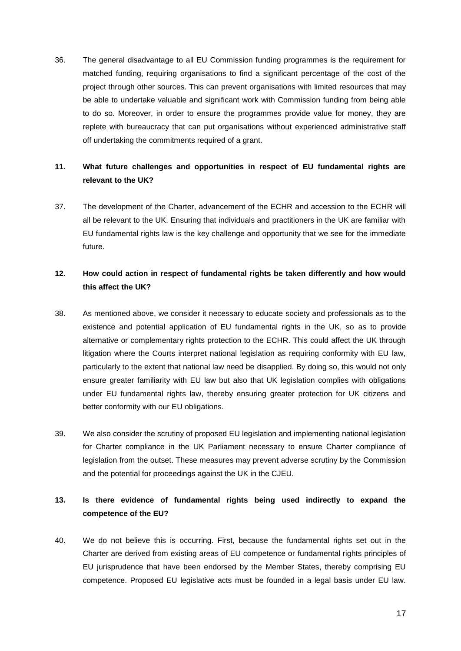36. The general disadvantage to all EU Commission funding programmes is the requirement for matched funding, requiring organisations to find a significant percentage of the cost of the project through other sources. This can prevent organisations with limited resources that may be able to undertake valuable and significant work with Commission funding from being able to do so. Moreover, in order to ensure the programmes provide value for money, they are replete with bureaucracy that can put organisations without experienced administrative staff off undertaking the commitments required of a grant.

## **11. What future challenges and opportunities in respect of EU fundamental rights are relevant to the UK?**

37. The development of the Charter, advancement of the ECHR and accession to the ECHR will all be relevant to the UK. Ensuring that individuals and practitioners in the UK are familiar with EU fundamental rights law is the key challenge and opportunity that we see for the immediate future.

## **12. How could action in respect of fundamental rights be taken differently and how would this affect the UK?**

- 38. As mentioned above, we consider it necessary to educate society and professionals as to the existence and potential application of EU fundamental rights in the UK, so as to provide alternative or complementary rights protection to the ECHR. This could affect the UK through litigation where the Courts interpret national legislation as requiring conformity with EU law, particularly to the extent that national law need be disapplied. By doing so, this would not only ensure greater familiarity with EU law but also that UK legislation complies with obligations under EU fundamental rights law, thereby ensuring greater protection for UK citizens and better conformity with our EU obligations.
- 39. We also consider the scrutiny of proposed EU legislation and implementing national legislation for Charter compliance in the UK Parliament necessary to ensure Charter compliance of legislation from the outset. These measures may prevent adverse scrutiny by the Commission and the potential for proceedings against the UK in the CJEU.

# **13. Is there evidence of fundamental rights being used indirectly to expand the competence of the EU?**

40. We do not believe this is occurring. First, because the fundamental rights set out in the Charter are derived from existing areas of EU competence or fundamental rights principles of EU jurisprudence that have been endorsed by the Member States, thereby comprising EU competence. Proposed EU legislative acts must be founded in a legal basis under EU law.